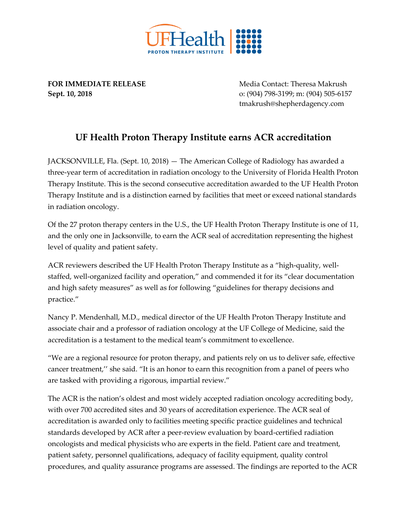

**FOR IMMEDIATE RELEASE** MEDIA Media Contact: Theresa Makrush **Sept. 10, 2018** o: (904) 798-3199; m: (904) 505-6157 tmakrush@shepherdagency.com

## **UF Health Proton Therapy Institute earns ACR accreditation**

JACKSONVILLE, Fla. (Sept. 10, 2018) — The American College of Radiology has awarded a three-year term of accreditation in radiation oncology to the University of Florida Health Proton Therapy Institute. This is the second consecutive accreditation awarded to the UF Health Proton Therapy Institute and is a distinction earned by facilities that meet or exceed national standards in radiation oncology.

Of the 27 proton therapy centers in the U.S., the UF Health Proton Therapy Institute is one of 11, and the only one in Jacksonville, to earn the ACR seal of accreditation representing the highest level of quality and patient safety.

ACR reviewers described the UF Health Proton Therapy Institute as a "high-quality, wellstaffed, well-organized facility and operation," and commended it for its "clear documentation and high safety measures" as well as for following "guidelines for therapy decisions and practice."

Nancy P. Mendenhall, M.D., medical director of the UF Health Proton Therapy Institute and associate chair and a professor of radiation oncology at the UF College of Medicine, said the accreditation is a testament to the medical team's commitment to excellence.

"We are a regional resource for proton therapy, and patients rely on us to deliver safe, effective cancer treatment,'' she said. "It is an honor to earn this recognition from a panel of peers who are tasked with providing a rigorous, impartial review."

The ACR is the nation's oldest and most widely accepted radiation oncology accrediting body, with over 700 accredited sites and 30 years of accreditation experience. The ACR seal of accreditation is awarded only to facilities meeting specific practice guidelines and technical standards developed by ACR after a peer-review evaluation by board-certified radiation oncologists and medical physicists who are experts in the field. Patient care and treatment, patient safety, personnel qualifications, adequacy of facility equipment, quality control procedures, and quality assurance programs are assessed. The findings are reported to the ACR